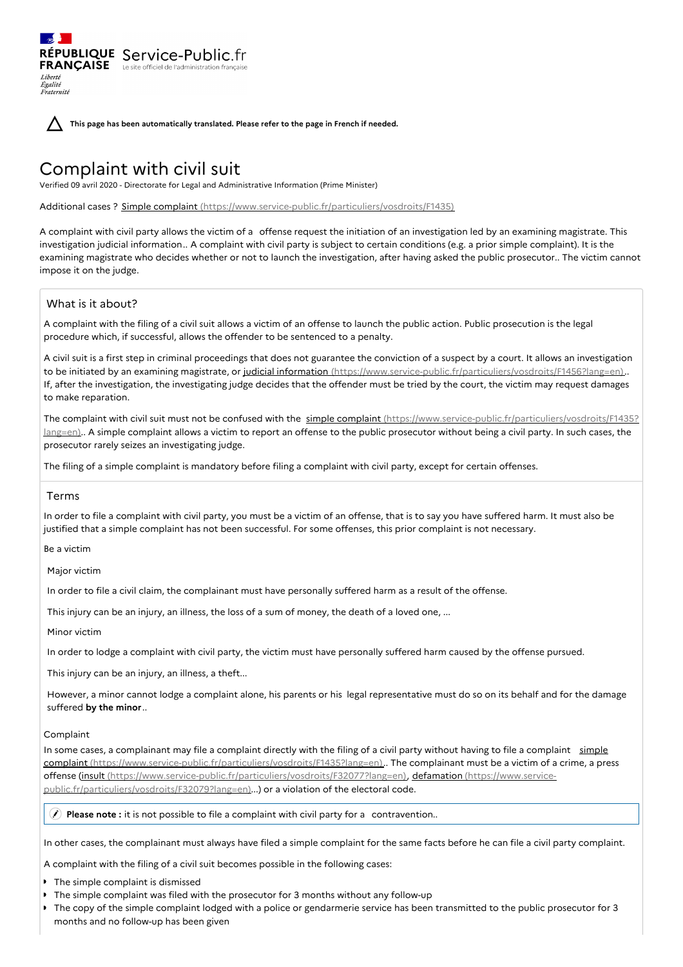**This page has been automatically translated. Please refer to the page in French if needed.**

# Complaint with civil suit

RÉPUBLIQUE Service-Public.fr **FRANÇAISE** Le site officiel de l'administration fran

Verified 09 avril 2020 - Directorate for Legal and Administrative Information (Prime Minister)

Additional cases ? Simple complaint [\(https://www.service-public.fr/particuliers/vosdroits/F1435\)](https://www.service-public.fr/particuliers/vosdroits/F1435)

A complaint with civil party allows the victim of a offense request the initiation of an investigation led by an examining magistrate. This investigation judicial information.. A complaint with civil party is subject to certain conditions (e.g. a prior simple complaint). It is the examining magistrate who decides whether or not to launch the investigation, after having asked the public prosecutor.. The victim cannot impose it on the judge.

# What is it about?

Liberté Égalité Fraternité

A complaint with the filing of a civil suit allows a victim of an offense to launch the public action. Public prosecution is the legal procedure which, if successful, allows the offender to be sentenced to a penalty.

A civil suit is a first step in criminal proceedings that does not guarantee the conviction of a suspect by a court. It allows an investigation to be initiated by an examining magistrate, or judicial information [\(https://www.service-public.fr/particuliers/vosdroits/F1456?lang=en\)](https://www.service-public.fr/particuliers/vosdroits/F1456?lang=en). If, after the investigation, the investigating judge decides that the offender must be tried by the court, the victim may request damages to make reparation.

The complaint with civil suit must not be confused with the simple complaint [\(https://www.service-public.fr/particuliers/vosdroits/F1435?](https://www.service-public.fr/particuliers/vosdroits/F1435?lang=en) lang=en).. A simple complaint allows a victim to report an offense to the public prosecutor without being a civil party. In such cases, the prosecutor rarely seizes an investigating judge.

The filing of a simple complaint is mandatory before filing a complaint with civil party, except for certain offenses.

### Terms

In order to file a complaint with civil party, you must be a victim of an offense, that is to say you have suffered harm. It must also be justified that a simple complaint has not been successful. For some offenses, this prior complaint is not necessary.

Be a victim

Major victim

In order to file a civil claim, the complainant must have personally suffered harm as a result of the offense.

This injury can be an injury, an illness, the loss of a sum of money, the death of a loved one, ...

Minor victim

In order to lodge a complaint with civil party, the victim must have personally suffered harm caused by the offense pursued.

This injury can be an injury, an illness, a theft...

However, a minor cannot lodge a complaint alone, his parents or his legal representative must do so on its behalf and for the damage suffered **by the minor**..

#### Complaint

In some cases, a complainant may file a complaint directly with the filing of a civil party without having to file a complaint simple complaint [\(https://www.service-public.fr/particuliers/vosdroits/F1435?lang=en\)..](https://www.service-public.fr/particuliers/vosdroits/F1435?lang=en) The complainant must be a victim of a crime, a press offense (insult [\(https://www.service-public.fr/particuliers/vosdroits/F32077?lang=en](https://www.service-public.fr/particuliers/vosdroits/F32077?lang=en)[\),](https://www.service-public.fr/particuliers/vosdroits/F32079?lang=en) defamation (https://www.servicepublic.fr/particuliers/vosdroits/F32079?lang=en)...) or a violation of the electoral code.

**Please note :** it is not possible to file a complaint with civil party for a contravention..

In other cases, the complainant must always have filed a simple complaint for the same facts before he can file a civil party complaint.

A complaint with the filing of a civil suit becomes possible in the following cases:

- **The simple complaint is dismissed**
- The simple complaint was filed with the prosecutor for 3 months without any follow-up
- The copy of the simple complaint lodged with a police or gendarmerie service has been transmitted to the public prosecutor for 3 months and no follow-up has been given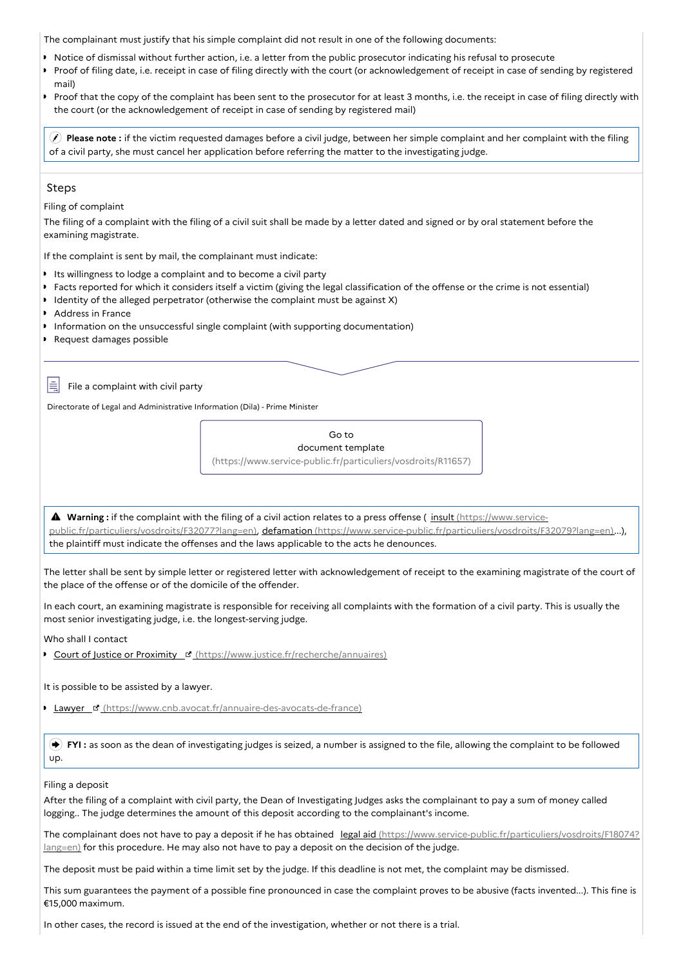The complainant must justify that his simple complaint did not result in one of the following documents:

- Notice of dismissal without further action, i.e. a letter from the public prosecutor indicating his refusal to prosecute
- Proof of filing date, i.e. receipt in case of filing directly with the court (or acknowledgement of receipt in case of sending by registered  $\bullet$ mail)
- Proof that the copy of the complaint has been sent to the prosecutor for at least 3 months, i.e. the receipt in case of filing directly with the court (or the acknowledgement of receipt in case of sending by registered mail)

 **Please note :** if the victim requested damages before a civil judge, between her simple complaint and her complaint with the filing of a civil party, she must cancel her application before referring the matter to the investigating judge.

#### Steps

Ι≣

Filing of complaint

The filing of a complaint with the filing of a civil suit shall be made by a letter dated and signed or by oral statement before the examining magistrate.

If the complaint is sent by mail, the complainant must indicate:

- Its willingness to lodge a complaint and to become a civil party
- Facts reported for which it considers itself a victim (giving the legal classification of the offense or the crime is not essential)
- Identity of the alleged perpetrator (otherwise the complaint must be against X)
- Address in France
- Information on the unsuccessful single complaint (with supporting documentation)
- Request damages possible

File a complaint with civil party

Directorate of Legal and Administrative Information (Dila) - Prime Minister

Go to document template [\(https://www.service-public.fr/particuliers/vosdroits/R11657\)](https://www.service-public.fr/particuliers/vosdroits/R11657)

**A** Warning : if the complaint with the filing of a civil action relates to a press offense ( insult (https://www.servicepublic.fr/particuliers/vosdroits/F32077?lang=en), defamation [\(https://www.service-public.fr/particuliers/vosdroits/F](https://www.service-public.fr/particuliers/vosdroits/F32077?lang=en)[32079?lang=en\)](https://www.service-public.fr/particuliers/vosdroits/F32079?lang=en)...), the plaintiff must indicate the offenses and the laws applicable to the acts he denounces.

The letter shall be sent by simple letter or registered letter with acknowledgement of receipt to the examining magistrate of the court of the place of the offense or of the domicile of the offender.

In each court, an examining magistrate is responsible for receiving all complaints with the formation of a civil party. This is usually the most senior investigating judge, i.e. the longest-serving judge.

Who shall I contact

Court of Justice or Proximity **E** [\(https://www.justice.fr/recherche/annuaires\)](https://www.justice.fr/recherche/annuaires)

It is possible to be assisted by a lawyer.

**Lawyer & [\(https://www.cnb.avocat.fr/annuaire-des-avocats-de-france\)](https://www.cnb.avocat.fr/annuaire-des-avocats-de-france)** 

 **FYI :** as soon as the dean of investigating judges is seized, a number is assigned to the file, allowing the complaint to be followed up.

#### Filing a deposit

After the filing of a complaint with civil party, the Dean of Investigating Judges asks the complainant to pay a sum of money called logging.. The judge determines the amount of this deposit according to the complainant's income.

The complainant does not have to pay a deposit if he has obtained legal aid [\(https://www.service-public.fr/particuliers/vosdroits/F18074?](https://www.service-public.fr/particuliers/vosdroits/F18074?lang=en) lang=en) for this procedure. He may also not have to pay a deposit on the decision of the judge.

The deposit must be paid within a time limit set by the judge. If this deadline is not met, the complaint may be dismissed.

This sum guarantees the payment of a possible fine pronounced in case the complaint proves to be abusive (facts invented...). This fine is €15,000 maximum.

In other cases, the record is issued at the end of the investigation, whether or not there is a trial.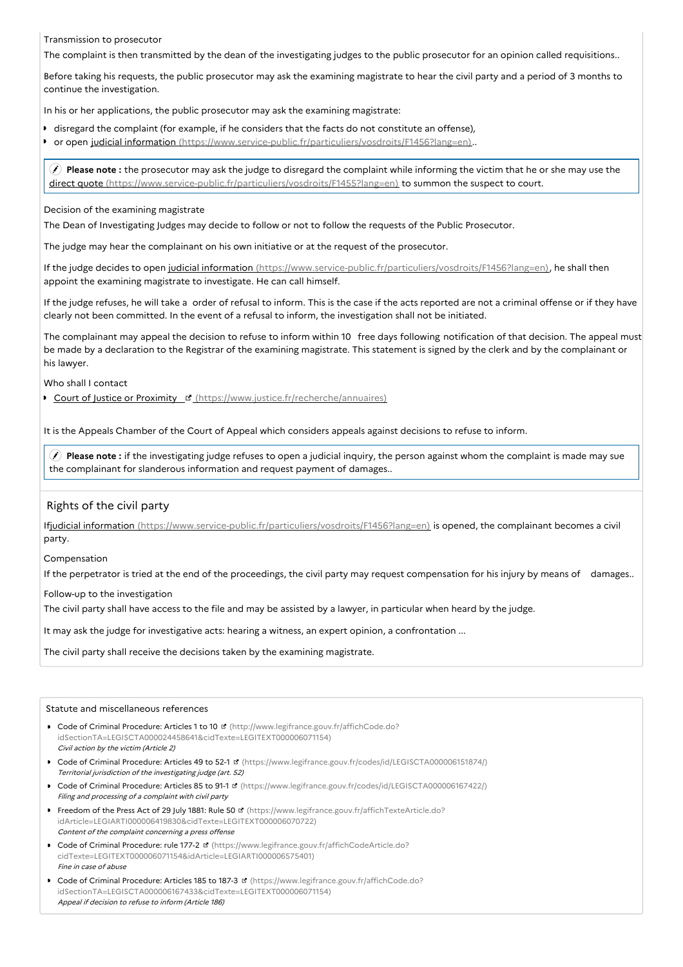#### Transmission to prosecutor

The complaint is then transmitted by the dean of the investigating judges to the public prosecutor for an opinion called requisitions..

Before taking his requests, the public prosecutor may ask the examining magistrate to hear the civil party and a period of 3 months to continue the investigation.

In his or her applications, the public prosecutor may ask the examining magistrate:

- disregard the complaint (for example, if he considers that the facts do not constitute an offense),
- $\mathbf{r}$ or open judicial information [\(https://www.service-public.fr/particuliers/vosdroits/F1456?lang=en\)](https://www.service-public.fr/particuliers/vosdroits/F1456?lang=en)..

 **Please note :** the prosecutor may ask the judge to disregard the complaint while informing the victim that he or she may use the direct quote [\(https://www.service-public.fr/particuliers/vosdroits/F1455?lang=en\)](https://www.service-public.fr/particuliers/vosdroits/F1455?lang=en) to summon the suspect to court.

#### Decision of the examining magistrate

The Dean of Investigating Judges may decide to follow or not to follow the requests of the Public Prosecutor.

The judge may hear the complainant on his own initiative or at the request of the prosecutor.

If the judge decides to open judicial information [\(https://www.service-public.fr/particuliers/vosdroits/F1456?lang=en\)](https://www.service-public.fr/particuliers/vosdroits/F1456?lang=en), he shall then appoint the examining magistrate to investigate. He can call himself.

If the judge refuses, he will take a order of refusal to inform. This is the case if the acts reported are not a criminal offense or if they have clearly not been committed. In the event of a refusal to inform, the investigation shall not be initiated.

The complainant may appeal the decision to refuse to inform within 10 free days following notification of that decision. The appeal must be made by a declaration to the Registrar of the examining magistrate. This statement is signed by the clerk and by the complainant or his lawyer.

Who shall I contact

Court of Justice or Proximity **E'** [\(https://www.justice.fr/recherche/annuaires\)](https://www.justice.fr/recherche/annuaires)

It is the Appeals Chamber of the Court of Appeal which considers appeals against decisions to refuse to inform.

 **Please note :** if the investigating judge refuses to open a judicial inquiry, the person against whom the complaint is made may sue the complainant for slanderous information and request payment of damages..

#### Rights of the civil party

Ifjudicial information [\(https://www.service-public.fr/particuliers/vosdroits/F1456?lang=en\)](https://www.service-public.fr/particuliers/vosdroits/F1456?lang=en) is opened, the complainant becomes a civil party.

Compensation

If the perpetrator is tried at the end of the proceedings, the civil party may request compensation for his injury by means of damages..

Follow-up to the investigation

The civil party shall have access to the file and may be assisted by a lawyer, in particular when heard by the judge.

It may ask the judge for investigative acts: hearing a witness, an expert opinion, a confrontation ...

The civil party shall receive the decisions taken by the examining magistrate.

#### Statute and miscellaneous references

- Code of Criminal Procedure: Articles 1 to 10 **d** (http://www.legifrance.gouv.fr/affichCode.do? [idSectionTA=LEGISCTA000024458641&cidTexte=LEGITEXT000006071154\)](http://www.legifrance.gouv.fr/affichCode.do?idSectionTA=LEGISCTA000024458641&cidTexte=LEGITEXT000006071154) Civil action by the victim (Article 2)
- Code of Criminal Procedure: Articles 49 to 52-1 **¤** [\(https://www.legifrance.gouv.fr/codes/id/LEGISCTA000006151874/\)](https://www.legifrance.gouv.fr/codes/id/LEGISCTA000006151874/) Territorial jurisdiction of the investigating judge (art. 52)
- Code of Criminal Procedure: Articles 85 to 91-1 **¤** [\(https://www.legifrance.gouv.fr/codes/id/LEGISCTA000006167422/\)](https://www.legifrance.gouv.fr/codes/id/LEGISCTA000006167422/) Filing and processing of <sup>a</sup> complaint with civil party
- Freedom of the Press Act of 29 July 1881: Rule 50 **d'** (https://www.legifrance.gouv.fr/affichTexteArticle.do? [idArticle=LEGIARTI000006419830&cidTexte=LEGITEXT000006070722\)](https://www.legifrance.gouv.fr/affichTexteArticle.do?idArticle=LEGIARTI000006419830&cidTexte=LEGITEXT000006070722) Content of the complaint concerning <sup>a</sup> press offense
- Code of Criminal Procedure: rule 177-2 **d** (https://www.legifrance.gouv.fr/affichCodeArticle.do? [cidTexte=LEGITEXT000006071154&idArticle=LEGIARTI000006575401\)](https://www.legifrance.gouv.fr/affichCodeArticle.do?cidTexte=LEGITEXT000006071154&idArticle=LEGIARTI000006575401) Fine in case of abuse
- Code of Criminal Procedure: Articles 185 to 187-3 **d** (https://www.legifrance.gouv.fr/affichCode.do? [idSectionTA=LEGISCTA000006167433&cidTexte=LEGITEXT000006071154\)](https://www.legifrance.gouv.fr/affichCode.do?idSectionTA=LEGISCTA000006167433&cidTexte=LEGITEXT000006071154) Appeal if decision to refuse to inform (Article 186)